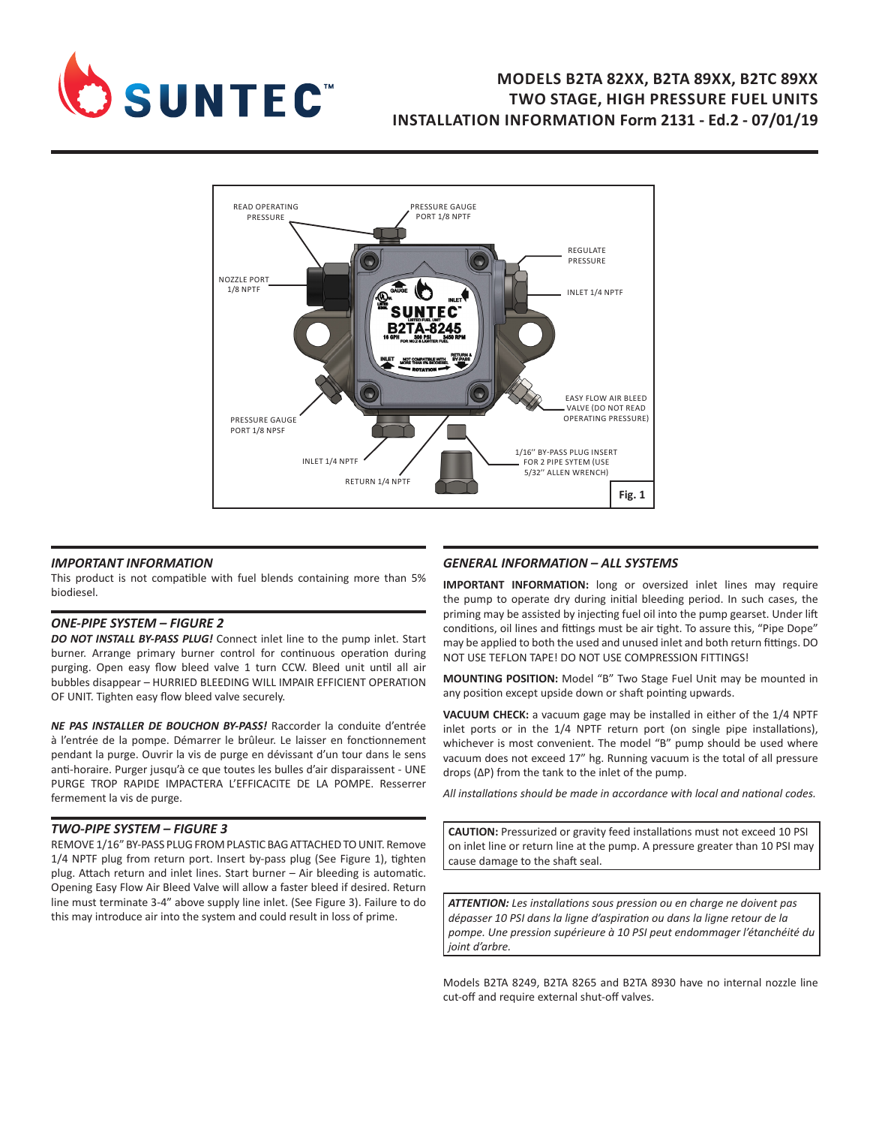

# **MODELS B2TA 82XX, B2TA 89XX, B2TC 89XX TWO STAGE, HIGH PRESSURE FUEL UNITS INSTALLATION INFORMATION Form 2131 - Ed.2 - 07/01/19**



#### *IMPORTANT INFORMATION*

This product is not compatible with fuel blends containing more than 5% biodiesel.

#### *ONE-PIPE SYSTEM – FIGURE 2*

*DO NOT INSTALL BY-PASS PLUG!* Connect inlet line to the pump inlet. Start burner. Arrange primary burner control for continuous operation during purging. Open easy flow bleed valve 1 turn CCW. Bleed unit until all air bubbles disappear – HURRIED BLEEDING WILL IMPAIR EFFICIENT OPERATION OF UNIT. Tighten easy flow bleed valve securely.

*NE PAS INSTALLER DE BOUCHON BY-PASS!* Raccorder la conduite d'entrée à l'entrée de la pompe. Démarrer le brûleur. Le laisser en fonctionnement pendant la purge. Ouvrir la vis de purge en dévissant d'un tour dans le sens anti-horaire. Purger jusqu'à ce que toutes les bulles d'air disparaissent - UNE PURGE TROP RAPIDE IMPACTERA L'EFFICACITE DE LA POMPE. Resserrer fermement la vis de purge.

#### *TWO-PIPE SYSTEM – FIGURE 3*

REMOVE 1/16" BY-PASS PLUG FROM PLASTIC BAG ATTACHED TO UNIT. Remove 1/4 NPTF plug from return port. Insert by-pass plug (See Figure 1), tighten plug. Attach return and inlet lines. Start burner – Air bleeding is automatic. Opening Easy Flow Air Bleed Valve will allow a faster bleed if desired. Return line must terminate 3-4" above supply line inlet. (See Figure 3). Failure to do this may introduce air into the system and could result in loss of prime.

### *GENERAL INFORMATION – ALL SYSTEMS*

**IMPORTANT INFORMATION:** long or oversized inlet lines may require the pump to operate dry during initial bleeding period. In such cases, the priming may be assisted by injecting fuel oil into the pump gearset. Under lift conditions, oil lines and fittings must be air tight. To assure this, "Pipe Dope" may be applied to both the used and unused inlet and both return fittings. DO NOT USE TEFLON TAPE! DO NOT USE COMPRESSION FITTINGS!

**MOUNTING POSITION:** Model "B" Two Stage Fuel Unit may be mounted in any position except upside down or shaft pointing upwards.

**VACUUM CHECK:** a vacuum gage may be installed in either of the 1/4 NPTF inlet ports or in the 1/4 NPTF return port (on single pipe installations), whichever is most convenient. The model "B" pump should be used where vacuum does not exceed 17" hg. Running vacuum is the total of all pressure drops (ΔP) from the tank to the inlet of the pump.

*All installations should be made in accordance with local and national codes.*

**CAUTION:** Pressurized or gravity feed installations must not exceed 10 PSI on inlet line or return line at the pump. A pressure greater than 10 PSI may cause damage to the shaft seal.

*ATTENTION: Les installations sous pression ou en charge ne doivent pas dépasser 10 PSI dans la ligne d'aspiration ou dans la ligne retour de la pompe. Une pression supérieure à 10 PSI peut endommager l'étanchéité du joint d'arbre.*

Models B2TA 8249, B2TA 8265 and B2TA 8930 have no internal nozzle line cut-off and require external shut-off valves.